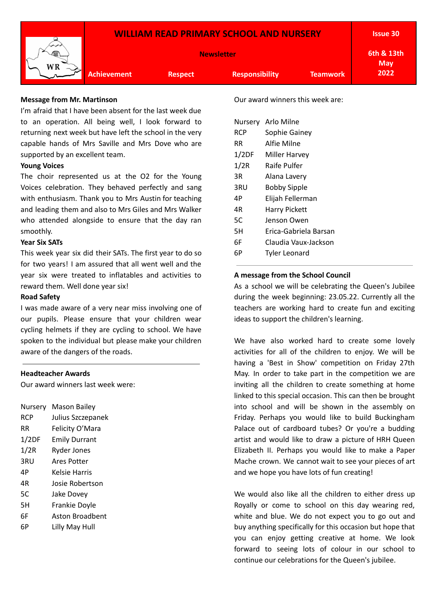

#### **Message from Mr. Martinson**

I'm afraid that I have been absent for the last week due to an operation. All being well, I look forward to returning next week but have left the school in the very capable hands of Mrs Saville and Mrs Dove who are supported by an excellent team.

### **Young Voices**

The choir represented us at the O2 for the Young Voices celebration. They behaved perfectly and sang with enthusiasm. Thank you to Mrs Austin for teaching and leading them and also to Mrs Giles and Mrs Walker who attended alongside to ensure that the day ran smoothly.

#### **Year Six SATs**

This week year six did their SATs. The first year to do so for two years! I am assured that all went well and the year six were treated to inflatables and activities to reward them. Well done year six!

#### **Road Safety**

I was made aware of a very near miss involving one of our pupils. Please ensure that your children wear cycling helmets if they are cycling to school. We have spoken to the individual but please make your children aware of the dangers of the roads.

#### **Headteacher Awards**

Our award winners last week were:

| Nursery    | <b>Mason Bailey</b>  |
|------------|----------------------|
| <b>RCP</b> | Julius Szczepanek    |
| RR         | Felicity O'Mara      |
| 1/2DF      | <b>Emily Durrant</b> |
| 1/2R       | <b>Ryder Jones</b>   |
| 3RU        | Ares Potter          |
| 4P         | Kelsie Harris        |
| 4R         | Josie Robertson      |
| 5C         | Jake Dovey           |
| 5H         | Frankie Doyle        |
| 6F         | Aston Broadbent      |
| 6Р         | Lilly May Hull       |
|            |                      |

Our award winners this week are:

| Nursery | Arlo Milne            |
|---------|-----------------------|
| RCP     | Sophie Gainey         |
| RR      | Alfie Milne           |
| 1/2DF   | Miller Harvey         |
| 1/2R    | Raife Pulfer          |
| 3R      | Alana Lavery          |
| 3RU     | <b>Bobby Sipple</b>   |
| 4Р      | Elijah Fellerman      |
| 4R      | <b>Harry Pickett</b>  |
| 5C      | Jenson Owen           |
| 5H      | Erica-Gabriela Barsan |
| 6F      | Claudia Vaux-Jackson  |
| 6Р      | <b>Tyler Leonard</b>  |

#### **A message from the School Council**

As a school we will be celebrating the Queen's Jubilee during the week beginning: 23.05.22. Currently all the teachers are working hard to create fun and exciting ideas to support the children's learning.

We have also worked hard to create some lovely activities for all of the children to enjoy. We will be having a 'Best in Show' competition on Friday 27th May. In order to take part in the competition we are inviting all the children to create something at home linked to this special occasion. This can then be brought into school and will be shown in the assembly on Friday. Perhaps you would like to build Buckingham Palace out of cardboard tubes? Or you're a budding artist and would like to draw a picture of HRH Queen Elizabeth II. Perhaps you would like to make a Paper Mache crown. We cannot wait to see your pieces of art and we hope you have lots of fun creating!

We would also like all the children to either dress up Royally or come to school on this day wearing red, white and blue. We do not expect you to go out and buy anything specifically for this occasion but hope that you can enjoy getting creative at home. We look forward to seeing lots of colour in our school to continue our celebrations for the Queen's jubilee.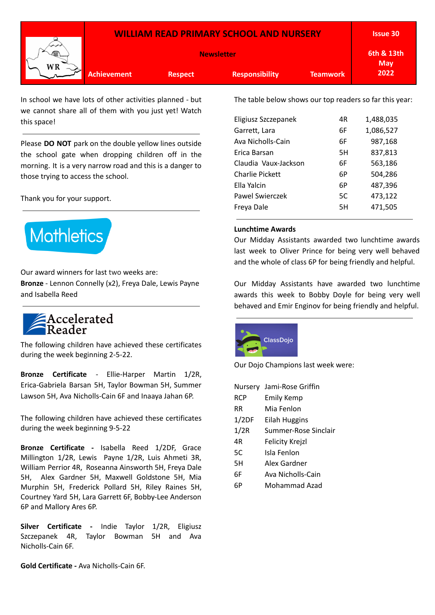|          |                    |                | <b>WILLIAM READ PRIMARY SCHOOL AND NURSERY</b> |                 | <b>Issue 30</b>          |
|----------|--------------------|----------------|------------------------------------------------|-----------------|--------------------------|
| ∽<br>∕ाज |                    |                | <b>Newsletter</b>                              |                 | 6th & 13th<br><b>May</b> |
|          | <b>Achievement</b> | <b>Respect</b> | <b>Responsibility</b>                          | <b>Teamwork</b> | 2022                     |

In school we have lots of other activities planned - but we cannot share all of them with you just yet! Watch this space!

Please **DO NOT** park on the double yellow lines outside the school gate when dropping children off in the morning. It is a very narrow road and this is a danger to those trying to access the school.

Thank you for your support.



Our award winners for last two weeks are: **Bronze** - Lennon Connelly (x2), Freya Dale, Lewis Payne and Isabella Reed

# Accelerated<br>Reader

The following children have achieved these certificates during the week beginning 2-5-22.

**Bronze Certificate** - Ellie-Harper Martin 1/2R, Erica-Gabriela Barsan 5H, Taylor Bowman 5H, Summer Lawson 5H, Ava Nicholls-Cain 6F and Inaaya Jahan 6P.

The following children have achieved these certificates during the week beginning 9-5-22

**Bronze Certificate -** Isabella Reed 1/2DF, Grace Millington 1/2R, Lewis Payne 1/2R, Luis Ahmeti 3R, William Perrior 4R, Roseanna Ainsworth 5H, Freya Dale 5H, Alex Gardner 5H, Maxwell Goldstone 5H, Mia Murphin 5H, Frederick Pollard 5H, Riley Raines 5H, Courtney Yard 5H, Lara Garrett 6F, Bobby-Lee Anderson 6P and Mallory Ares 6P.

**Silver Certificate -** Indie Taylor 1/2R, Eligiusz Szczepanek 4R, Taylor Bowman 5H and Ava Nicholls-Cain 6F.

**Gold Certificate -** Ava Nicholls-Cain 6F.

The table below shows our top readers so far this year:

|                      | 4R |           |
|----------------------|----|-----------|
| Eligiusz Szczepanek  |    | 1,488,035 |
| Garrett, Lara        | 6F | 1,086,527 |
| Ava Nicholls-Cain    | 6F | 987,168   |
| Erica Barsan         | 5H | 837,813   |
| Claudia Vaux-Jackson | 6F | 563,186   |
| Charlie Pickett      | 6P | 504,286   |
| Ella Yalcin          | 6P | 487,396   |
| Pawel Swierczek      | 5C | 473,122   |
| Freya Dale           | 5H | 471,505   |
|                      |    |           |

#### **Lunchtime Awards**

Our Midday Assistants awarded two lunchtime awards last week to Oliver Prince for being very well behaved and the whole of class 6P for being friendly and helpful.

Our Midday Assistants have awarded two lunchtime awards this week to Bobby Doyle for being very well behaved and Emir Enginov for being friendly and helpful.



Our Dojo Champions last week were:

| Nursery    | Jami-Rose Griffin    |
|------------|----------------------|
| <b>RCP</b> | <b>Emily Kemp</b>    |
| RR         | Mia Fenlon           |
| 1/2DF      | Eilah Huggins        |
| 1/2R       | Summer-Rose Sinclair |
| 4R         | Felicity Krejzl      |
| 5C         | Isla Fenlon          |
| 5H         | Alex Gardner         |
| 6F         | Ava Nicholls-Cain    |
|            | Mohammad Azad        |